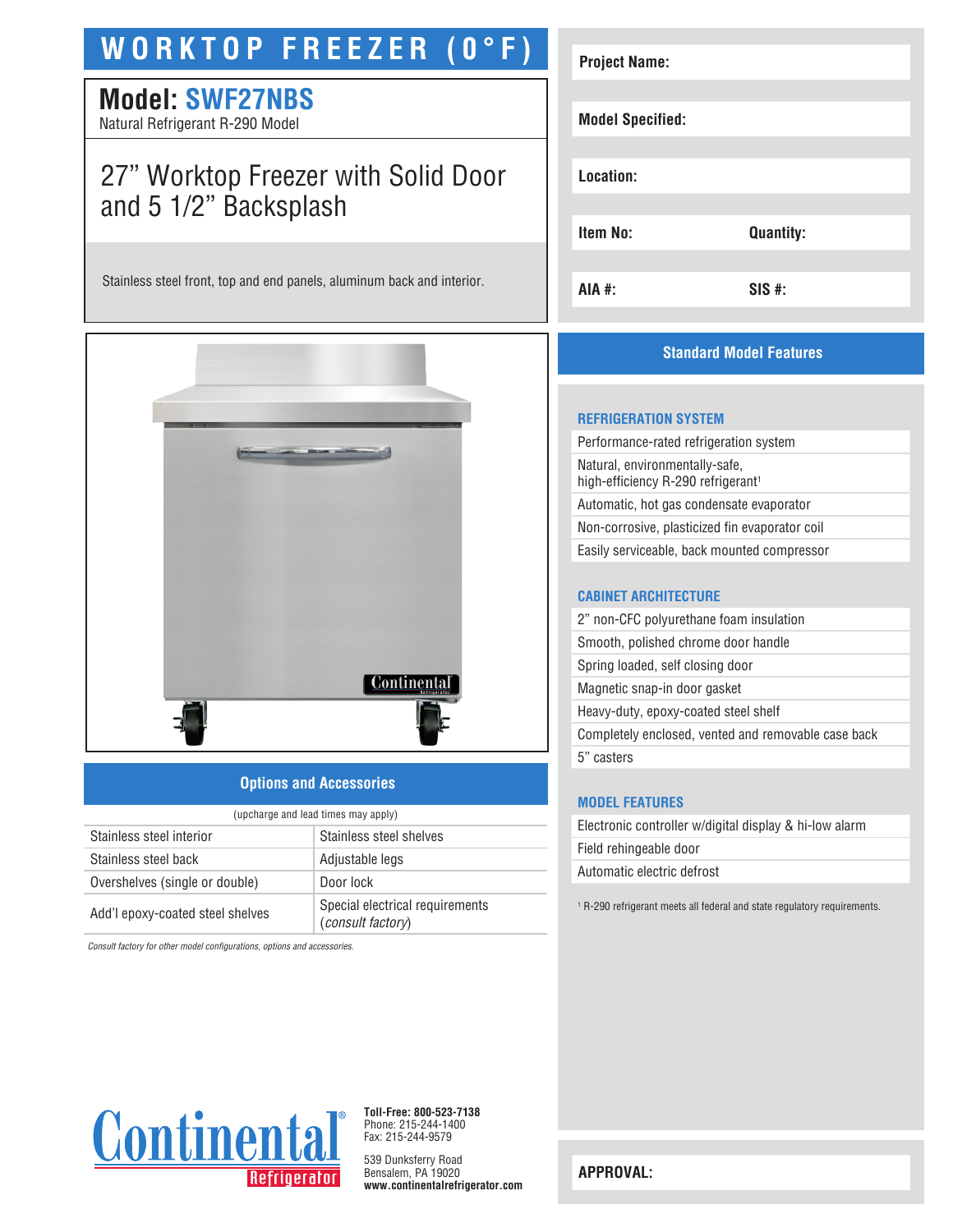# **WORKTOP FREEZER (0°F)**

## **Model: SWF27NBS**

Natural Refrigerant R-290 Model

### 27" Worktop Freezer with Solid Door and 5 1/2" Backsplash

Stainless steel front, top and end panels, aluminum back and interior.



#### **Options and Accessories**

| (upcharge and lead times may apply) |                                                      |  |
|-------------------------------------|------------------------------------------------------|--|
| Stainless steel interior            | Stainless steel shelves                              |  |
| Stainless steel back                | Adjustable legs                                      |  |
| Overshelves (single or double)      | Door lock                                            |  |
| Add'l epoxy-coated steel shelves    | Special electrical requirements<br>(consult factory) |  |

*Consult factory for other model configurations, options and accessories.*

| <b>Project Name:</b>    |                  |
|-------------------------|------------------|
| <b>Model Specified:</b> |                  |
| Location:               |                  |
| Item No:                | <b>Quantity:</b> |
|                         |                  |
| AIA #:                  | $SIS$ #:         |

### **Standard Model Features**

#### **REFRIGERATION SYSTEM**

Performance-rated refrigeration system Natural, environmentally-safe, high-efficiency R-290 refrigerant<sup>1</sup> Automatic, hot gas condensate evaporator Non-corrosive, plasticized fin evaporator coil Easily serviceable, back mounted compressor

#### **CABINET ARCHITECTURE**

2" non-CFC polyurethane foam insulation Smooth, polished chrome door handle Spring loaded, self closing door Magnetic snap-in door gasket Heavy-duty, epoxy-coated steel shelf Completely enclosed, vented and removable case back 5" casters

#### **MODEL FEATURES**

| Electronic controller w/digital display & hi-low alarm |  |
|--------------------------------------------------------|--|
| Field rehingeable door                                 |  |
| Automatic electric defrost                             |  |
|                                                        |  |

1 R-290 refrigerant meets all federal and state regulatory requirements.



**Toll-Free: 800-523-7138** Phone: 215-244-1400 Fax: 215-244-9579

539 Dunksferry Road Bensalem, PA 19020 **www.continentalrefrigerator.com** 

**APPROVAL:**